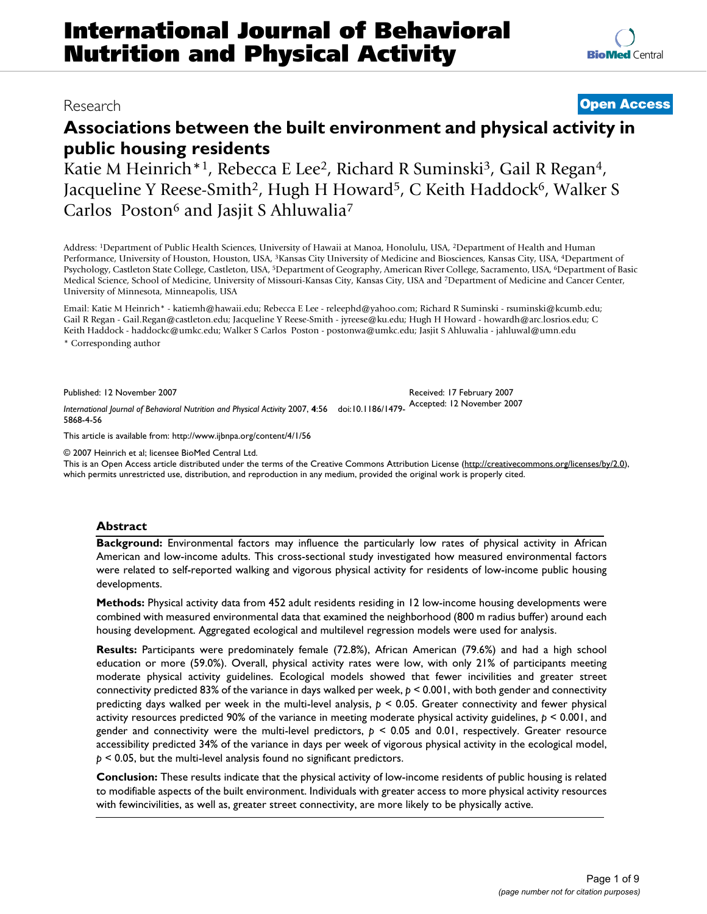# **Associations between the built environment and physical activity in public housing residents**

Katie M Heinrich\*<sup>1</sup>, Rebecca E Lee<sup>2</sup>, Richard R Suminski<sup>3</sup>, Gail R Regan<sup>4</sup>, Jacqueline Y Reese-Smith<sup>2</sup>, Hugh H Howard<sup>5</sup>, C Keith Haddock<sup>6</sup>, Walker S Carlos Poston<sup>6</sup> and Jasjit S Ahluwalia<sup>7</sup>

Address: 1Department of Public Health Sciences, University of Hawaii at Manoa, Honolulu, USA, 2Department of Health and Human Performance, University of Houston, Houston, USA, 3Kansas City University of Medicine and Biosciences, Kansas City, USA, 4Department of Psychology, Castleton State College, Castleton, USA, <sup>5</sup>Department of Geography, American River College, Sacramento, USA, <sup>6</sup>Department of Basic Medical Science, School of Medicine, University of Missouri-Kansas City, Kansas City, USA and 7Department of Medicine and Cancer Center, University of Minnesota, Minneapolis, USA

Email: Katie M Heinrich\* - katiemh@hawaii.edu; Rebecca E Lee - releephd@yahoo.com; Richard R Suminski - rsuminski@kcumb.edu; Gail R Regan - Gail.Regan@castleton.edu; Jacqueline Y Reese-Smith - jyreese@ku.edu; Hugh H Howard - howardh@arc.losrios.edu; C Keith Haddock - haddockc@umkc.edu; Walker S Carlos Poston - postonwa@umkc.edu; Jasjit S Ahluwalia - jahluwal@umn.edu \* Corresponding author

Published: 12 November 2007

*International Journal of Behavioral Nutrition and Physical Activity* 2007, **4**:56 doi:10.1186/1479- Accepted: 12 November 2007 5868-4-56

[This article is available from: http://www.ijbnpa.org/content/4/1/56](http://www.ijbnpa.org/content/4/1/56)

© 2007 Heinrich et al; licensee BioMed Central Ltd.

This is an Open Access article distributed under the terms of the Creative Commons Attribution License [\(http://creativecommons.org/licenses/by/2.0\)](http://creativecommons.org/licenses/by/2.0), which permits unrestricted use, distribution, and reproduction in any medium, provided the original work is properly cited.

# **Abstract**

**Background:** Environmental factors may influence the particularly low rates of physical activity in African American and low-income adults. This cross-sectional study investigated how measured environmental factors were related to self-reported walking and vigorous physical activity for residents of low-income public housing developments.

**Methods:** Physical activity data from 452 adult residents residing in 12 low-income housing developments were combined with measured environmental data that examined the neighborhood (800 m radius buffer) around each housing development. Aggregated ecological and multilevel regression models were used for analysis.

**Results:** Participants were predominately female (72.8%), African American (79.6%) and had a high school education or more (59.0%). Overall, physical activity rates were low, with only 21% of participants meeting moderate physical activity guidelines. Ecological models showed that fewer incivilities and greater street connectivity predicted 83% of the variance in days walked per week, *p* < 0.001, with both gender and connectivity predicting days walked per week in the multi-level analysis, *p* < 0.05. Greater connectivity and fewer physical activity resources predicted 90% of the variance in meeting moderate physical activity guidelines, *p* < 0.001, and gender and connectivity were the multi-level predictors, *p* < 0.05 and 0.01, respectively. Greater resource accessibility predicted 34% of the variance in days per week of vigorous physical activity in the ecological model, *p* < 0.05, but the multi-level analysis found no significant predictors.

**Conclusion:** These results indicate that the physical activity of low-income residents of public housing is related to modifiable aspects of the built environment. Individuals with greater access to more physical activity resources with fewincivilities, as well as, greater street connectivity, are more likely to be physically active.

Research **[Open Access](http://www.biomedcentral.com/info/about/charter/)**

Received: 17 February 2007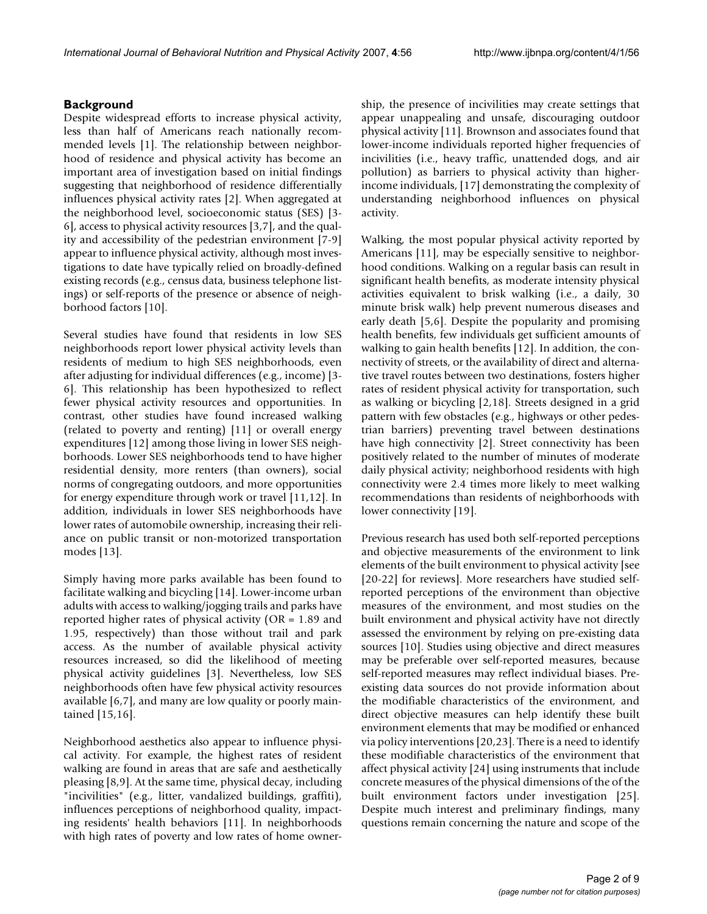#### **Background**

Despite widespread efforts to increase physical activity, less than half of Americans reach nationally recommended levels [1]. The relationship between neighborhood of residence and physical activity has become an important area of investigation based on initial findings suggesting that neighborhood of residence differentially influences physical activity rates [2]. When aggregated at the neighborhood level, socioeconomic status (SES) [3- 6], access to physical activity resources [3,7], and the quality and accessibility of the pedestrian environment [7-9] appear to influence physical activity, although most investigations to date have typically relied on broadly-defined existing records (e.g., census data, business telephone listings) or self-reports of the presence or absence of neighborhood factors [10].

Several studies have found that residents in low SES neighborhoods report lower physical activity levels than residents of medium to high SES neighborhoods, even after adjusting for individual differences (e.g., income) [3- 6]. This relationship has been hypothesized to reflect fewer physical activity resources and opportunities. In contrast, other studies have found increased walking (related to poverty and renting) [11] or overall energy expenditures [12] among those living in lower SES neighborhoods. Lower SES neighborhoods tend to have higher residential density, more renters (than owners), social norms of congregating outdoors, and more opportunities for energy expenditure through work or travel [11,12]. In addition, individuals in lower SES neighborhoods have lower rates of automobile ownership, increasing their reliance on public transit or non-motorized transportation modes [13].

Simply having more parks available has been found to facilitate walking and bicycling [14]. Lower-income urban adults with access to walking/jogging trails and parks have reported higher rates of physical activity (OR = 1.89 and 1.95, respectively) than those without trail and park access. As the number of available physical activity resources increased, so did the likelihood of meeting physical activity guidelines [3]. Nevertheless, low SES neighborhoods often have few physical activity resources available [6,7], and many are low quality or poorly maintained [15,16].

Neighborhood aesthetics also appear to influence physical activity. For example, the highest rates of resident walking are found in areas that are safe and aesthetically pleasing [8,9]. At the same time, physical decay, including "incivilities" (e.g., litter, vandalized buildings, graffiti), influences perceptions of neighborhood quality, impacting residents' health behaviors [11]. In neighborhoods with high rates of poverty and low rates of home ownership, the presence of incivilities may create settings that appear unappealing and unsafe, discouraging outdoor physical activity [11]. Brownson and associates found that lower-income individuals reported higher frequencies of incivilities (i.e., heavy traffic, unattended dogs, and air pollution) as barriers to physical activity than higherincome individuals, [17] demonstrating the complexity of understanding neighborhood influences on physical activity.

Walking, the most popular physical activity reported by Americans [11], may be especially sensitive to neighborhood conditions. Walking on a regular basis can result in significant health benefits, as moderate intensity physical activities equivalent to brisk walking (i.e., a daily, 30 minute brisk walk) help prevent numerous diseases and early death [5,6]. Despite the popularity and promising health benefits, few individuals get sufficient amounts of walking to gain health benefits [12]. In addition, the connectivity of streets, or the availability of direct and alternative travel routes between two destinations, fosters higher rates of resident physical activity for transportation, such as walking or bicycling [2,18]. Streets designed in a grid pattern with few obstacles (e.g., highways or other pedestrian barriers) preventing travel between destinations have high connectivity [2]. Street connectivity has been positively related to the number of minutes of moderate daily physical activity; neighborhood residents with high connectivity were 2.4 times more likely to meet walking recommendations than residents of neighborhoods with lower connectivity [19].

Previous research has used both self-reported perceptions and objective measurements of the environment to link elements of the built environment to physical activity [see [20-22] for reviews]. More researchers have studied selfreported perceptions of the environment than objective measures of the environment, and most studies on the built environment and physical activity have not directly assessed the environment by relying on pre-existing data sources [10]. Studies using objective and direct measures may be preferable over self-reported measures, because self-reported measures may reflect individual biases. Preexisting data sources do not provide information about the modifiable characteristics of the environment, and direct objective measures can help identify these built environment elements that may be modified or enhanced via policy interventions [20,23]. There is a need to identify these modifiable characteristics of the environment that affect physical activity [24] using instruments that include concrete measures of the physical dimensions of the of the built environment factors under investigation [25]. Despite much interest and preliminary findings, many questions remain concerning the nature and scope of the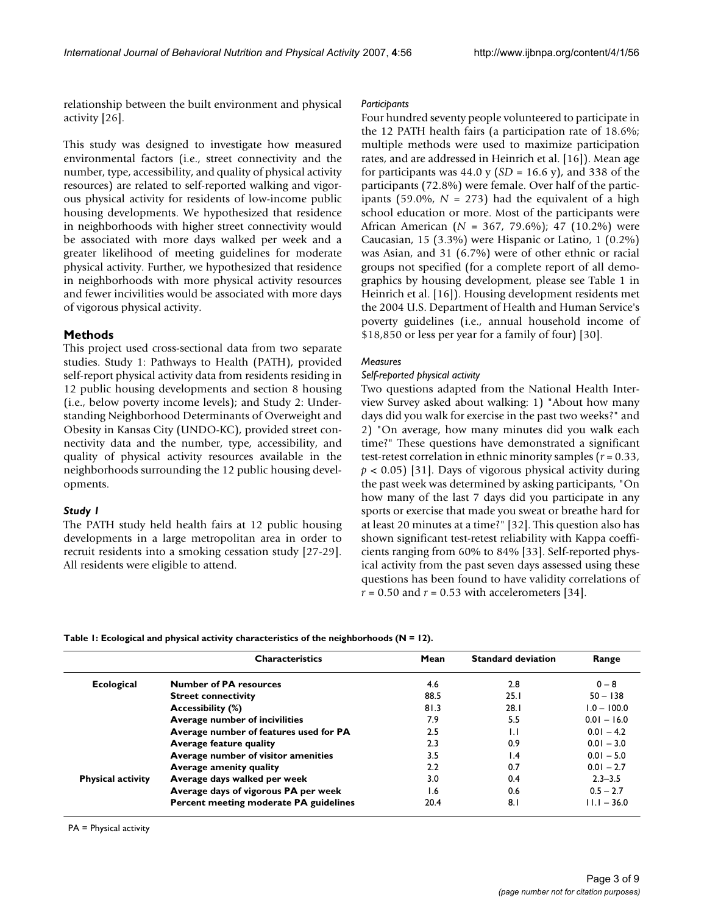relationship between the built environment and physical activity [26].

This study was designed to investigate how measured environmental factors (i.e., street connectivity and the number, type, accessibility, and quality of physical activity resources) are related to self-reported walking and vigorous physical activity for residents of low-income public housing developments. We hypothesized that residence in neighborhoods with higher street connectivity would be associated with more days walked per week and a greater likelihood of meeting guidelines for moderate physical activity. Further, we hypothesized that residence in neighborhoods with more physical activity resources and fewer incivilities would be associated with more days of vigorous physical activity.

#### **Methods**

This project used cross-sectional data from two separate studies. Study 1: Pathways to Health (PATH), provided self-report physical activity data from residents residing in 12 public housing developments and section 8 housing (i.e., below poverty income levels); and Study 2: Understanding Neighborhood Determinants of Overweight and Obesity in Kansas City (UNDO-KC), provided street connectivity data and the number, type, accessibility, and quality of physical activity resources available in the neighborhoods surrounding the 12 public housing developments.

#### *Study 1*

The PATH study held health fairs at 12 public housing developments in a large metropolitan area in order to recruit residents into a smoking cessation study [27-29]. All residents were eligible to attend.

#### *Participants*

Four hundred seventy people volunteered to participate in the 12 PATH health fairs (a participation rate of 18.6%; multiple methods were used to maximize participation rates, and are addressed in Heinrich et al. [16]). Mean age for participants was 44.0 y (*SD* = 16.6 y), and 338 of the participants (72.8%) were female. Over half of the participants (59.0%,  $N = 273$ ) had the equivalent of a high school education or more. Most of the participants were African American (*N* = 367, 79.6%); 47 (10.2%) were Caucasian, 15 (3.3%) were Hispanic or Latino, 1 (0.2%) was Asian, and 31 (6.7%) were of other ethnic or racial groups not specified (for a complete report of all demographics by housing development, please see Table 1 in Heinrich et al. [16]). Housing development residents met the 2004 U.S. Department of Health and Human Service's poverty guidelines (i.e., annual household income of \$18,850 or less per year for a family of four) [30].

#### *Measures*

#### *Self-reported physical activity*

Two questions adapted from the National Health Interview Survey asked about walking: 1) "About how many days did you walk for exercise in the past two weeks?" and 2) "On average, how many minutes did you walk each time?" These questions have demonstrated a significant test-retest correlation in ethnic minority samples (*r* = 0.33, *p* < 0.05) [31]. Days of vigorous physical activity during the past week was determined by asking participants, "On how many of the last 7 days did you participate in any sports or exercise that made you sweat or breathe hard for at least 20 minutes at a time?" [32]. This question also has shown significant test-retest reliability with Kappa coefficients ranging from 60% to 84% [33]. Self-reported physical activity from the past seven days assessed using these questions has been found to have validity correlations of  $r = 0.50$  and  $r = 0.53$  with accelerometers [34].

|  | Table 1: Ecological and physical activity characteristics of the neighborhoods (N = 12). |  |  |
|--|------------------------------------------------------------------------------------------|--|--|
|--|------------------------------------------------------------------------------------------|--|--|

|                          | <b>Characteristics</b>                 | Mean | <b>Standard deviation</b> | Range         |
|--------------------------|----------------------------------------|------|---------------------------|---------------|
| Ecological               | <b>Number of PA resources</b>          | 4.6  | 2.8                       | $0 - 8$       |
|                          | <b>Street connectivity</b>             | 88.5 | 25.1                      | $50 - 138$    |
|                          | <b>Accessibility (%)</b>               | 81.3 | 28.1                      | $1.0 - 100.0$ |
|                          | Average number of incivilities         | 7.9  | 5.5                       | $0.01 - 16.0$ |
|                          | Average number of features used for PA | 2.5  | $\mathbf{L}$              | $0.01 - 4.2$  |
|                          | <b>Average feature quality</b>         | 2.3  | 0.9                       | $0.01 - 3.0$  |
|                          | Average number of visitor amenities    | 3.5  | $\mathsf{I}$ .4           | $0.01 - 5.0$  |
|                          | Average amenity quality                | 2.2  | 0.7                       | $0.01 - 2.7$  |
| <b>Physical activity</b> | Average days walked per week           | 3.0  | 0.4                       | $2.3 - 3.5$   |
|                          | Average days of vigorous PA per week   | 1.6  | 0.6                       | $0.5 - 2.7$   |
|                          | Percent meeting moderate PA guidelines | 20.4 | 8.1                       | $11.1 - 36.0$ |

PA = Physical activity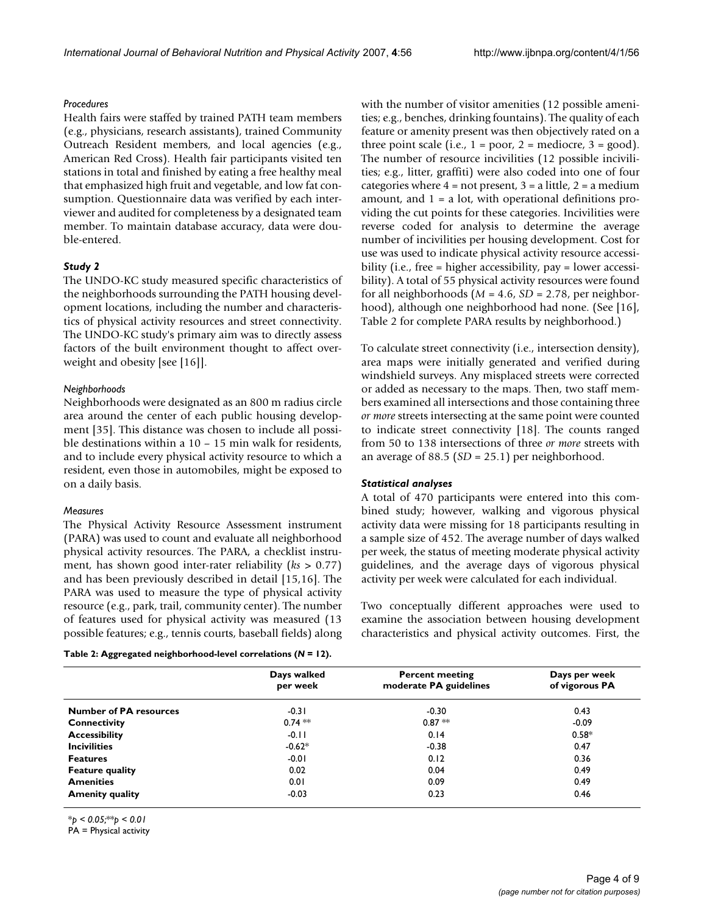#### *Procedures*

Health fairs were staffed by trained PATH team members (e.g., physicians, research assistants), trained Community Outreach Resident members, and local agencies (e.g., American Red Cross). Health fair participants visited ten stations in total and finished by eating a free healthy meal that emphasized high fruit and vegetable, and low fat consumption. Questionnaire data was verified by each interviewer and audited for completeness by a designated team member. To maintain database accuracy, data were double-entered.

# *Study 2*

The UNDO-KC study measured specific characteristics of the neighborhoods surrounding the PATH housing development locations, including the number and characteristics of physical activity resources and street connectivity. The UNDO-KC study's primary aim was to directly assess factors of the built environment thought to affect overweight and obesity [see [16]].

# *Neighborhoods*

Neighborhoods were designated as an 800 m radius circle area around the center of each public housing development [35]. This distance was chosen to include all possible destinations within a 10 – 15 min walk for residents, and to include every physical activity resource to which a resident, even those in automobiles, might be exposed to on a daily basis.

# *Measures*

The Physical Activity Resource Assessment instrument (PARA) was used to count and evaluate all neighborhood physical activity resources. The PARA, a checklist instrument, has shown good inter-rater reliability (*ks* > 0.77) and has been previously described in detail [15,16]. The PARA was used to measure the type of physical activity resource (e.g., park, trail, community center). The number of features used for physical activity was measured (13 possible features; e.g., tennis courts, baseball fields) along

| Table 2: Aggregated neighborhood-level correlations ( $N = 12$ ). |  |  |
|-------------------------------------------------------------------|--|--|
|                                                                   |  |  |

with the number of visitor amenities (12 possible amenities; e.g., benches, drinking fountains). The quality of each feature or amenity present was then objectively rated on a three point scale (i.e.,  $1 = poor$ ,  $2 = medicine$ ,  $3 = good$ ). The number of resource incivilities (12 possible incivilities; e.g., litter, graffiti) were also coded into one of four categories where  $4 = not present$ ,  $3 = a little$ ,  $2 = a medium$ amount, and  $1 = a$  lot, with operational definitions providing the cut points for these categories. Incivilities were reverse coded for analysis to determine the average number of incivilities per housing development. Cost for use was used to indicate physical activity resource accessibility (i.e., free = higher accessibility, pay = lower accessibility). A total of 55 physical activity resources were found for all neighborhoods (*M* = 4.6, *SD* = 2.78, per neighborhood), although one neighborhood had none. (See [16], Table 2 for complete PARA results by neighborhood.)

To calculate street connectivity (i.e., intersection density), area maps were initially generated and verified during windshield surveys. Any misplaced streets were corrected or added as necessary to the maps. Then, two staff members examined all intersections and those containing three *or more* streets intersecting at the same point were counted to indicate street connectivity [18]. The counts ranged from 50 to 138 intersections of three *or more* streets with an average of 88.5 (*SD* = 25.1) per neighborhood.

# *Statistical analyses*

A total of 470 participants were entered into this combined study; however, walking and vigorous physical activity data were missing for 18 participants resulting in a sample size of 452. The average number of days walked per week, the status of meeting moderate physical activity guidelines, and the average days of vigorous physical activity per week were calculated for each individual.

Two conceptually different approaches were used to examine the association between housing development characteristics and physical activity outcomes. First, the

|                               | Days walked<br>per week | <b>Percent meeting</b><br>moderate PA guidelines | Days per week<br>of vigorous PA |
|-------------------------------|-------------------------|--------------------------------------------------|---------------------------------|
| <b>Number of PA resources</b> | $-0.31$                 | $-0.30$                                          | 0.43                            |
| <b>Connectivity</b>           | $0.74***$               | $0.87**$                                         | $-0.09$                         |
| <b>Accessibility</b>          | $-0.11$                 | 0.14                                             | $0.58*$                         |
| <b>Incivilities</b>           | $-0.62*$                | $-0.38$                                          | 0.47                            |
| <b>Features</b>               | $-0.01$                 | 0.12                                             | 0.36                            |
| <b>Feature quality</b>        | 0.02                    | 0.04                                             | 0.49                            |
| <b>Amenities</b>              | 0.01                    | 0.09                                             | 0.49                            |
| <b>Amenity quality</b>        | $-0.03$                 | 0.23                                             | 0.46                            |

\**p < 0.05;*\*\**p < 0.01*

PA = Physical activity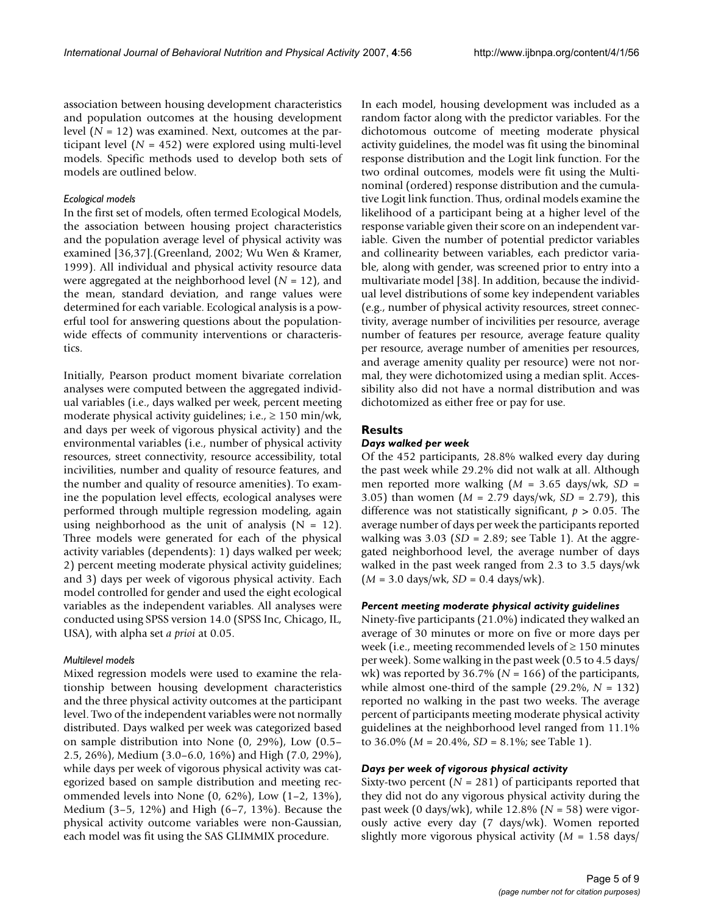association between housing development characteristics and population outcomes at the housing development level (*N* = 12) was examined. Next, outcomes at the participant level  $(N = 452)$  were explored using multi-level models. Specific methods used to develop both sets of models are outlined below.

#### *Ecological models*

In the first set of models, often termed Ecological Models, the association between housing project characteristics and the population average level of physical activity was examined [36,37].(Greenland, 2002; Wu Wen & Kramer, 1999). All individual and physical activity resource data were aggregated at the neighborhood level (*N* = 12), and the mean, standard deviation, and range values were determined for each variable. Ecological analysis is a powerful tool for answering questions about the populationwide effects of community interventions or characteristics.

Initially, Pearson product moment bivariate correlation analyses were computed between the aggregated individual variables (i.e., days walked per week, percent meeting moderate physical activity guidelines; i.e.,  $\geq 150$  min/wk, and days per week of vigorous physical activity) and the environmental variables (i.e., number of physical activity resources, street connectivity, resource accessibility, total incivilities, number and quality of resource features, and the number and quality of resource amenities). To examine the population level effects, ecological analyses were performed through multiple regression modeling, again using neighborhood as the unit of analysis  $(N = 12)$ . Three models were generated for each of the physical activity variables (dependents): 1) days walked per week; 2) percent meeting moderate physical activity guidelines; and 3) days per week of vigorous physical activity. Each model controlled for gender and used the eight ecological variables as the independent variables. All analyses were conducted using SPSS version 14.0 (SPSS Inc, Chicago, IL, USA), with alpha set *a prioi* at 0.05.

#### *Multilevel models*

Mixed regression models were used to examine the relationship between housing development characteristics and the three physical activity outcomes at the participant level. Two of the independent variables were not normally distributed. Days walked per week was categorized based on sample distribution into None (0, 29%), Low (0.5– 2.5, 26%), Medium (3.0–6.0, 16%) and High (7.0, 29%), while days per week of vigorous physical activity was categorized based on sample distribution and meeting recommended levels into None (0, 62%), Low (1–2, 13%), Medium (3–5, 12%) and High (6–7, 13%). Because the physical activity outcome variables were non-Gaussian, each model was fit using the SAS GLIMMIX procedure.

In each model, housing development was included as a random factor along with the predictor variables. For the dichotomous outcome of meeting moderate physical activity guidelines, the model was fit using the binominal response distribution and the Logit link function. For the two ordinal outcomes, models were fit using the Multinominal (ordered) response distribution and the cumulative Logit link function. Thus, ordinal models examine the likelihood of a participant being at a higher level of the response variable given their score on an independent variable. Given the number of potential predictor variables and collinearity between variables, each predictor variable, along with gender, was screened prior to entry into a multivariate model [38]. In addition, because the individual level distributions of some key independent variables (e.g., number of physical activity resources, street connectivity, average number of incivilities per resource, average number of features per resource, average feature quality per resource, average number of amenities per resources, and average amenity quality per resource) were not normal, they were dichotomized using a median split. Accessibility also did not have a normal distribution and was dichotomized as either free or pay for use.

#### **Results**

#### *Days walked per week*

Of the 452 participants, 28.8% walked every day during the past week while 29.2% did not walk at all. Although men reported more walking (*M* = 3.65 days/wk, *SD* = 3.05) than women (*M* = 2.79 days/wk, *SD* = 2.79), this difference was not statistically significant, *p* > 0.05. The average number of days per week the participants reported walking was 3.03 (*SD* = 2.89; see Table 1). At the aggregated neighborhood level, the average number of days walked in the past week ranged from 2.3 to 3.5 days/wk  $(M = 3.0 \text{ days/wk}, SD = 0.4 \text{ days/wk}).$ 

#### *Percent meeting moderate physical activity guidelines*

Ninety-five participants (21.0%) indicated they walked an average of 30 minutes or more on five or more days per week (i.e., meeting recommended levels of  $\geq$  150 minutes per week). Some walking in the past week (0.5 to 4.5 days/ wk) was reported by 36.7% (*N* = 166) of the participants, while almost one-third of the sample  $(29.2\%, N = 132)$ reported no walking in the past two weeks. The average percent of participants meeting moderate physical activity guidelines at the neighborhood level ranged from 11.1% to 36.0% (*M* = 20.4%, *SD* = 8.1%; see Table 1).

#### *Days per week of vigorous physical activity*

Sixty-two percent  $(N = 281)$  of participants reported that they did not do any vigorous physical activity during the past week (0 days/wk), while 12.8% (*N* = 58) were vigorously active every day (7 days/wk). Women reported slightly more vigorous physical activity (*M* = 1.58 days/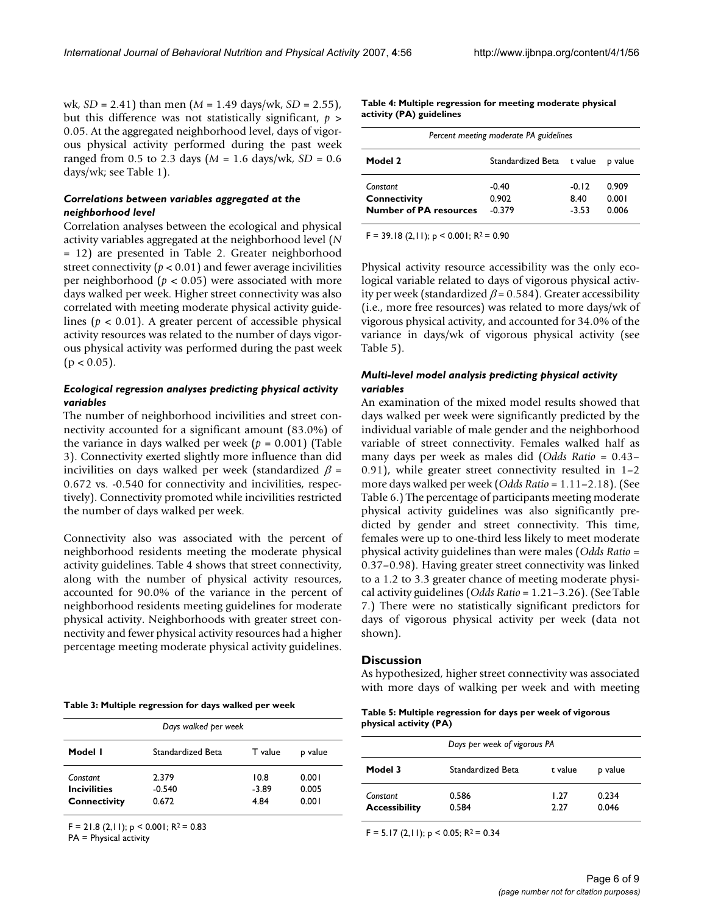wk, *SD* = 2.41) than men (*M* = 1.49 days/wk, *SD* = 2.55), but this difference was not statistically significant, *p* > 0.05. At the aggregated neighborhood level, days of vigorous physical activity performed during the past week ranged from 0.5 to 2.3 days (*M* = 1.6 days/wk, *SD* = 0.6 days/wk; see Table 1).

#### *Correlations between variables aggregated at the neighborhood level*

Correlation analyses between the ecological and physical activity variables aggregated at the neighborhood level (*N* = 12) are presented in Table 2. Greater neighborhood street connectivity ( $p < 0.01$ ) and fewer average incivilities per neighborhood (*p* < 0.05) were associated with more days walked per week. Higher street connectivity was also correlated with meeting moderate physical activity guidelines (*p* < 0.01). A greater percent of accessible physical activity resources was related to the number of days vigorous physical activity was performed during the past week  $(p < 0.05)$ .

#### *Ecological regression analyses predicting physical activity variables*

The number of neighborhood incivilities and street connectivity accounted for a significant amount (83.0%) of the variance in days walked per week ( $p = 0.001$ ) (Table 3). Connectivity exerted slightly more influence than did incivilities on days walked per week (standardized  $\beta$  = 0.672 vs. -0.540 for connectivity and incivilities, respectively). Connectivity promoted while incivilities restricted the number of days walked per week.

Connectivity also was associated with the percent of neighborhood residents meeting the moderate physical activity guidelines. Table 4 shows that street connectivity, along with the number of physical activity resources, accounted for 90.0% of the variance in the percent of neighborhood residents meeting guidelines for moderate physical activity. Neighborhoods with greater street connectivity and fewer physical activity resources had a higher percentage meeting moderate physical activity guidelines.

**Table 3: Multiple regression for days walked per week**

| Days walked per week                                   |                            |                         |                         |  |
|--------------------------------------------------------|----------------------------|-------------------------|-------------------------|--|
| Model I                                                | Standardized Beta          | T value                 | p value                 |  |
| Constant<br><b>Incivilities</b><br><b>Connectivity</b> | 2.379<br>$-0.540$<br>0.672 | 10.8<br>$-3.89$<br>4.84 | 0.001<br>0.005<br>0.001 |  |

 $F = 21.8$  (2,11);  $p < 0.001$ ;  $R^2 = 0.83$ 

PA = Physical activity

**Table 4: Multiple regression for meeting moderate physical activity (PA) guidelines**

| Percent meeting moderate PA guidelines                           |                              |                            |                         |  |  |
|------------------------------------------------------------------|------------------------------|----------------------------|-------------------------|--|--|
| Model 2<br>Standardized Beta t value<br>p value                  |                              |                            |                         |  |  |
| Constant<br><b>Connectivity</b><br><b>Number of PA resources</b> | $-0.40$<br>0.902<br>$-0.379$ | $-0.12$<br>8.40<br>$-3.53$ | 0.909<br>0.001<br>0.006 |  |  |

 $F = 39.18 (2,11); p < 0.001; R<sup>2</sup> = 0.90$ 

Physical activity resource accessibility was the only ecological variable related to days of vigorous physical activity per week (standardized  $\beta$  = 0.584). Greater accessibility (i.e., more free resources) was related to more days/wk of vigorous physical activity, and accounted for 34.0% of the variance in days/wk of vigorous physical activity (see Table 5).

#### *Multi-level model analysis predicting physical activity variables*

An examination of the mixed model results showed that days walked per week were significantly predicted by the individual variable of male gender and the neighborhood variable of street connectivity. Females walked half as many days per week as males did (*Odds Ratio* = 0.43– 0.91), while greater street connectivity resulted in 1–2 more days walked per week (*Odds Ratio* = 1.11–2.18). (See Table 6.) The percentage of participants meeting moderate physical activity guidelines was also significantly predicted by gender and street connectivity. This time, females were up to one-third less likely to meet moderate physical activity guidelines than were males (*Odds Ratio* = 0.37–0.98). Having greater street connectivity was linked to a 1.2 to 3.3 greater chance of meeting moderate physical activity guidelines (*Odds Ratio* = 1.21–3.26). (See Table 7.) There were no statistically significant predictors for days of vigorous physical activity per week (data not shown).

#### **Discussion**

As hypothesized, higher street connectivity was associated with more days of walking per week and with meeting

|                        | Table 5: Multiple regression for days per week of vigorous |
|------------------------|------------------------------------------------------------|
| physical activity (PA) |                                                            |

|                                  | Days per week of vigorous PA |              |                |  |
|----------------------------------|------------------------------|--------------|----------------|--|
| Model 3                          | Standardized Beta            | t value      | p value        |  |
| Constant<br><b>Accessibility</b> | 0.586<br>0.584               | 1.27<br>2.27 | 0.234<br>0.046 |  |

 $F = 5.17$  (2,11);  $p < 0.05$ ; R<sup>2</sup> = 0.34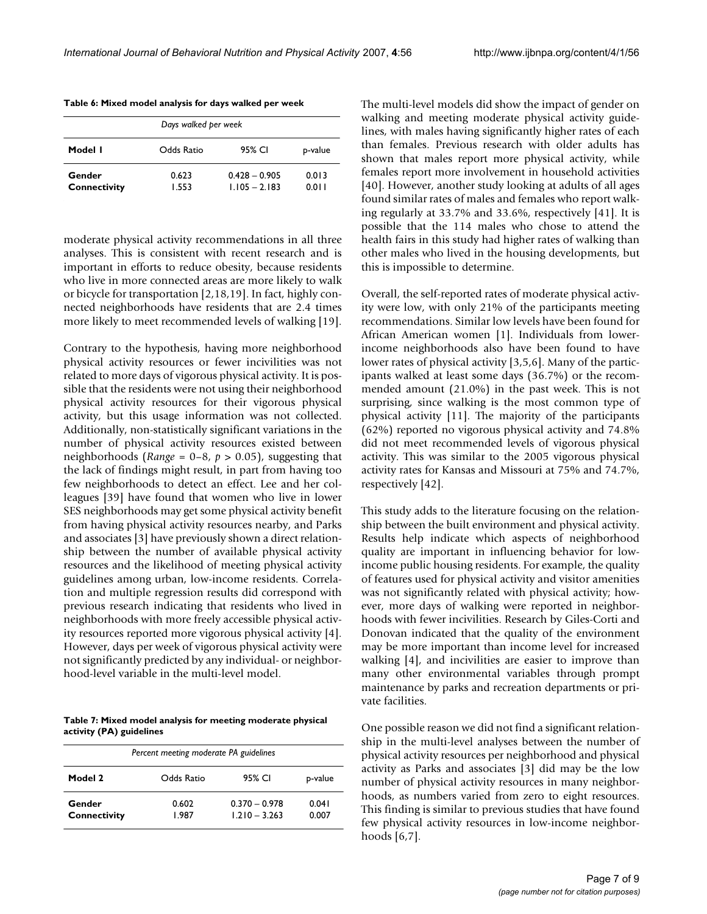| Days walked per week |            |                 |         |  |
|----------------------|------------|-----------------|---------|--|
| Model I              | Odds Ratio | 95% CI          | p-value |  |
| Gender               | 0.623      | $0.428 - 0.905$ | 0.013   |  |
| <b>Connectivity</b>  | 1.553      | $1.105 - 2.183$ | 0.011   |  |

**Table 6: Mixed model analysis for days walked per week**

moderate physical activity recommendations in all three analyses. This is consistent with recent research and is important in efforts to reduce obesity, because residents who live in more connected areas are more likely to walk or bicycle for transportation [2,18,19]. In fact, highly connected neighborhoods have residents that are 2.4 times more likely to meet recommended levels of walking [19].

Contrary to the hypothesis, having more neighborhood physical activity resources or fewer incivilities was not related to more days of vigorous physical activity. It is possible that the residents were not using their neighborhood physical activity resources for their vigorous physical activity, but this usage information was not collected. Additionally, non-statistically significant variations in the number of physical activity resources existed between neighborhoods (*Range* = 0–8, *p* > 0.05), suggesting that the lack of findings might result, in part from having too few neighborhoods to detect an effect. Lee and her colleagues [39] have found that women who live in lower SES neighborhoods may get some physical activity benefit from having physical activity resources nearby, and Parks and associates [3] have previously shown a direct relationship between the number of available physical activity resources and the likelihood of meeting physical activity guidelines among urban, low-income residents. Correlation and multiple regression results did correspond with previous research indicating that residents who lived in neighborhoods with more freely accessible physical activity resources reported more vigorous physical activity [4]. However, days per week of vigorous physical activity were not significantly predicted by any individual- or neighborhood-level variable in the multi-level model.

**Table 7: Mixed model analysis for meeting moderate physical activity (PA) guidelines**

| Percent meeting moderate PA guidelines |                |                                    |                |  |
|----------------------------------------|----------------|------------------------------------|----------------|--|
| Model 2                                | Odds Ratio     | 95% CI                             | p-value        |  |
| Gender<br><b>Connectivity</b>          | 0.602<br>1.987 | $0.370 - 0.978$<br>$1.210 - 3.263$ | 0.041<br>0.007 |  |

The multi-level models did show the impact of gender on walking and meeting moderate physical activity guidelines, with males having significantly higher rates of each than females. Previous research with older adults has shown that males report more physical activity, while females report more involvement in household activities [40]. However, another study looking at adults of all ages found similar rates of males and females who report walking regularly at 33.7% and 33.6%, respectively [41]. It is possible that the 114 males who chose to attend the health fairs in this study had higher rates of walking than other males who lived in the housing developments, but this is impossible to determine.

Overall, the self-reported rates of moderate physical activity were low, with only 21% of the participants meeting recommendations. Similar low levels have been found for African American women [1]. Individuals from lowerincome neighborhoods also have been found to have lower rates of physical activity [3,5,6]. Many of the participants walked at least some days (36.7%) or the recommended amount (21.0%) in the past week. This is not surprising, since walking is the most common type of physical activity [11]. The majority of the participants (62%) reported no vigorous physical activity and 74.8% did not meet recommended levels of vigorous physical activity. This was similar to the 2005 vigorous physical activity rates for Kansas and Missouri at 75% and 74.7%, respectively [42].

This study adds to the literature focusing on the relationship between the built environment and physical activity. Results help indicate which aspects of neighborhood quality are important in influencing behavior for lowincome public housing residents. For example, the quality of features used for physical activity and visitor amenities was not significantly related with physical activity; however, more days of walking were reported in neighborhoods with fewer incivilities. Research by Giles-Corti and Donovan indicated that the quality of the environment may be more important than income level for increased walking [4], and incivilities are easier to improve than many other environmental variables through prompt maintenance by parks and recreation departments or private facilities.

One possible reason we did not find a significant relationship in the multi-level analyses between the number of physical activity resources per neighborhood and physical activity as Parks and associates [3] did may be the low number of physical activity resources in many neighborhoods, as numbers varied from zero to eight resources. This finding is similar to previous studies that have found few physical activity resources in low-income neighborhoods [6,7].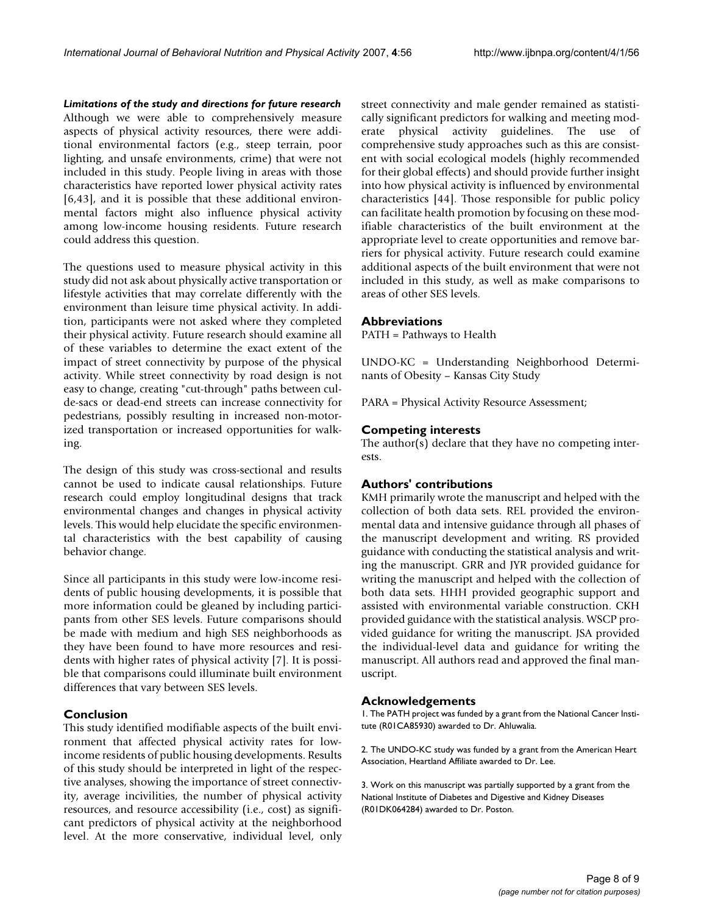*Limitations of the study and directions for future research* Although we were able to comprehensively measure aspects of physical activity resources, there were additional environmental factors (e.g., steep terrain, poor lighting, and unsafe environments, crime) that were not included in this study. People living in areas with those characteristics have reported lower physical activity rates [6,43], and it is possible that these additional environmental factors might also influence physical activity among low-income housing residents. Future research could address this question.

The questions used to measure physical activity in this study did not ask about physically active transportation or lifestyle activities that may correlate differently with the environment than leisure time physical activity. In addition, participants were not asked where they completed their physical activity. Future research should examine all of these variables to determine the exact extent of the impact of street connectivity by purpose of the physical activity. While street connectivity by road design is not easy to change, creating "cut-through" paths between culde-sacs or dead-end streets can increase connectivity for pedestrians, possibly resulting in increased non-motorized transportation or increased opportunities for walking.

The design of this study was cross-sectional and results cannot be used to indicate causal relationships. Future research could employ longitudinal designs that track environmental changes and changes in physical activity levels. This would help elucidate the specific environmental characteristics with the best capability of causing behavior change.

Since all participants in this study were low-income residents of public housing developments, it is possible that more information could be gleaned by including participants from other SES levels. Future comparisons should be made with medium and high SES neighborhoods as they have been found to have more resources and residents with higher rates of physical activity [7]. It is possible that comparisons could illuminate built environment differences that vary between SES levels.

# **Conclusion**

This study identified modifiable aspects of the built environment that affected physical activity rates for lowincome residents of public housing developments. Results of this study should be interpreted in light of the respective analyses, showing the importance of street connectivity, average incivilities, the number of physical activity resources, and resource accessibility (i.e., cost) as significant predictors of physical activity at the neighborhood level. At the more conservative, individual level, only street connectivity and male gender remained as statistically significant predictors for walking and meeting moderate physical activity guidelines. The use of comprehensive study approaches such as this are consistent with social ecological models (highly recommended for their global effects) and should provide further insight into how physical activity is influenced by environmental characteristics [44]. Those responsible for public policy can facilitate health promotion by focusing on these modifiable characteristics of the built environment at the appropriate level to create opportunities and remove barriers for physical activity. Future research could examine additional aspects of the built environment that were not included in this study, as well as make comparisons to areas of other SES levels.

# **Abbreviations**

PATH = Pathways to Health

UNDO-KC = Understanding Neighborhood Determinants of Obesity – Kansas City Study

PARA = Physical Activity Resource Assessment;

#### **Competing interests**

The author(s) declare that they have no competing interests.

# **Authors' contributions**

KMH primarily wrote the manuscript and helped with the collection of both data sets. REL provided the environmental data and intensive guidance through all phases of the manuscript development and writing. RS provided guidance with conducting the statistical analysis and writing the manuscript. GRR and JYR provided guidance for writing the manuscript and helped with the collection of both data sets. HHH provided geographic support and assisted with environmental variable construction. CKH provided guidance with the statistical analysis. WSCP provided guidance for writing the manuscript. JSA provided the individual-level data and guidance for writing the manuscript. All authors read and approved the final manuscript.

#### **Acknowledgements**

1. The PATH project was funded by a grant from the National Cancer Institute (R01CA85930) awarded to Dr. Ahluwalia.

2. The UNDO-KC study was funded by a grant from the American Heart Association, Heartland Affiliate awarded to Dr. Lee.

3. Work on this manuscript was partially supported by a grant from the National Institute of Diabetes and Digestive and Kidney Diseases (R01DK064284) awarded to Dr. Poston.